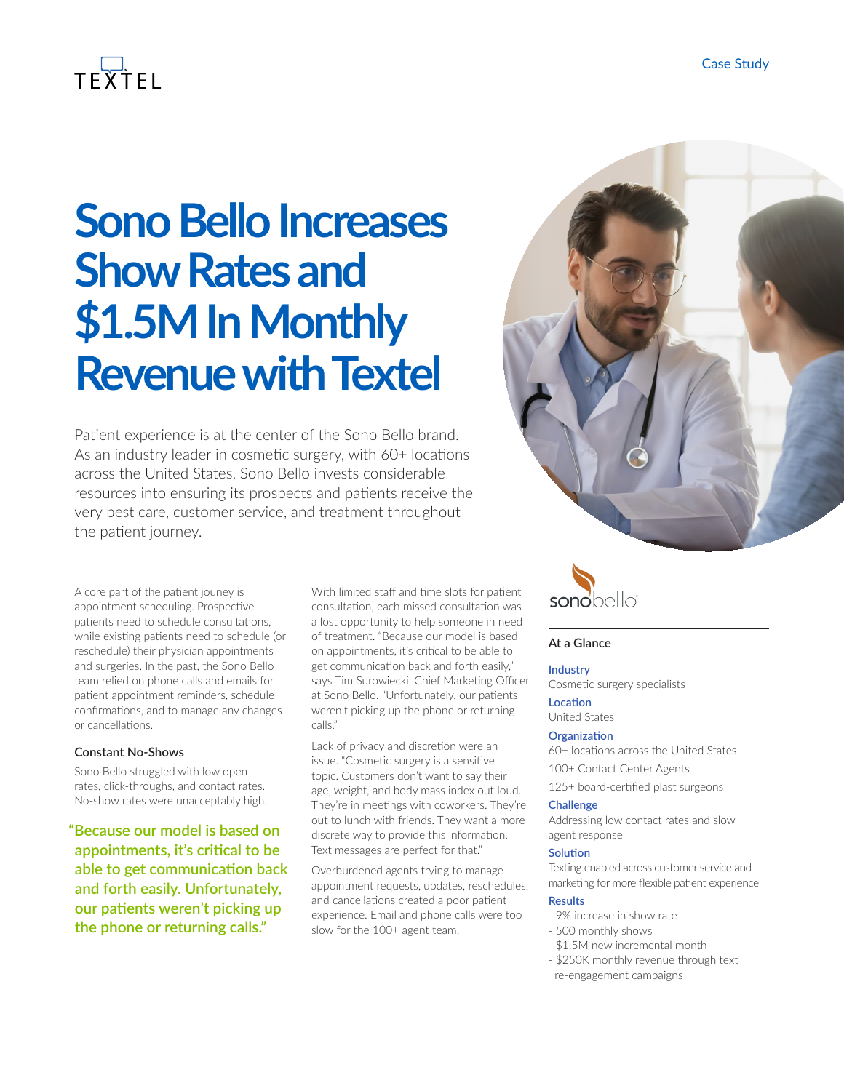# $TFXTH$

# **Sono Bello Increases Show Rates and \$1.5M In Monthly Revenue with Textel**

Patient experience is at the center of the Sono Bello brand. As an industry leader in cosmetic surgery, with 60+ locations across the United States, Sono Bello invests considerable resources into ensuring its prospects and patients receive the very best care, customer service, and treatment throughout the patient journey.

A core part of the patient jouney is appointment scheduling. Prospective patients need to schedule consultations, while existing patients need to schedule (or reschedule) their physician appointments and surgeries. In the past, the Sono Bello team relied on phone calls and emails for patient appointment reminders, schedule confirmations, and to manage any changes or cancellations.

#### **Constant No-Shows**

Sono Bello struggled with low open rates, click-throughs, and contact rates. No-show rates were unacceptably high.

**"Because our model is based on appointments, it's critical to be able to get communication back and forth easily. Unfortunately, our patients weren't picking up the phone or returning calls."**

With limited staff and time slots for patient consultation, each missed consultation was a lost opportunity to help someone in need of treatment. "Because our model is based on appointments, it's critical to be able to get communication back and forth easily," says Tim Surowiecki, Chief Marketing Officer at Sono Bello. "Unfortunately, our patients weren't picking up the phone or returning calls."

Lack of privacy and discretion were an issue. "Cosmetic surgery is a sensitive topic. Customers don't want to say their age, weight, and body mass index out loud. They're in meetings with coworkers. They're out to lunch with friends. They want a more discrete way to provide this information. Text messages are perfect for that."

Overburdened agents trying to manage appointment requests, updates, reschedules, and cancellations created a poor patient experience. Email and phone calls were too slow for the 100+ agent team.





#### **At a Glance**

#### **Industry**

Cosmetic surgery specialists

#### **Location**

United States

#### **Organization**

60+ locations across the United States

- 100+ Contact Center Agents
- 125+ board-certified plast surgeons

#### **Challenge**

Addressing low contact rates and slow agent response

#### **Solution**

Texting enabled across customer service and marketing for more flexible patient experience

#### **Results**

- 9% increase in show rate
- 500 monthly shows
- \$1.5M new incremental month
- \$250K monthly revenue through text re-engagement campaigns